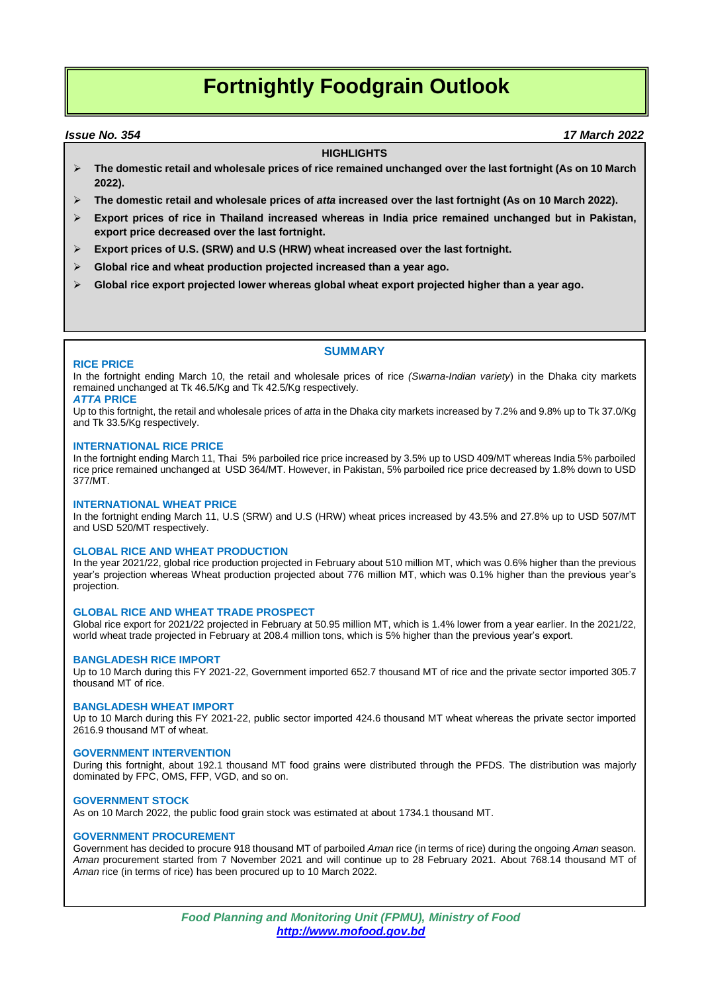# **Fortnightly Foodgrain Outlook**

 *Issue No. 354 17 March 2022*

## **HIGHLIGHTS**

- **The domestic retail and wholesale prices of rice remained unchanged over the last fortnight (As on 10 March 2022).**
- **The domestic retail and wholesale prices of** *atta* **increased over the last fortnight (As on 10 March 2022).**
- **Export prices of rice in Thailand increased whereas in India price remained unchanged but in Pakistan, export price decreased over the last fortnight.**
- **Export prices of U.S. (SRW) and U.S (HRW) wheat increased over the last fortnight.**
- **Global rice and wheat production projected increased than a year ago.**
- **Global rice export projected lower whereas global wheat export projected higher than a year ago.**

## **SUMMARY**

## **RICE PRICE**

In the fortnight ending March 10, the retail and wholesale prices of rice *(Swarna-Indian variety*) in the Dhaka city markets remained unchanged at Tk 46.5/Kg and Tk 42.5/Kg respectively.

## *ATTA* **PRICE**

Up to this fortnight, the retail and wholesale prices of *atta* in the Dhaka city markets increased by 7.2% and 9.8% up to Tk 37.0/Kg and Tk 33.5/Kg respectively.

## **INTERNATIONAL RICE PRICE**

In the fortnight ending March 11, Thai 5% parboiled rice price increased by 3.5% up to USD 409/MT whereas India 5% parboiled rice price remained unchanged at USD 364/MT. However, in Pakistan, 5% parboiled rice price decreased by 1.8% down to USD 377/MT.

## **INTERNATIONAL WHEAT PRICE**

In the fortnight ending March 11, U.S (SRW) and U.S (HRW) wheat prices increased by 43.5% and 27.8% up to USD 507/MT and USD 520/MT respectively.

## **GLOBAL RICE AND WHEAT PRODUCTION**

In the year 2021/22, global rice production projected in February about 510 million MT, which was 0.6% higher than the previous year's projection whereas Wheat production projected about 776 million MT, which was 0.1% higher than the previous year's projection.

## **GLOBAL RICE AND WHEAT TRADE PROSPECT**

Global rice export for 2021/22 projected in February at 50.95 million MT, which is 1.4% lower from a year earlier. In the 2021/22, world wheat trade projected in February at 208.4 million tons, which is 5% higher than the previous year's export.

## **BANGLADESH RICE IMPORT**

Up to 10 March during this FY 2021-22, Government imported 652.7 thousand MT of rice and the private sector imported 305.7 thousand MT of rice.

#### **BANGLADESH WHEAT IMPORT**

Up to 10 March during this FY 2021-22, public sector imported 424.6 thousand MT wheat whereas the private sector imported 2616.9 thousand MT of wheat.

## **GOVERNMENT INTERVENTION**

During this fortnight, about 192.1 thousand MT food grains were distributed through the PFDS. The distribution was majorly dominated by FPC, OMS, FFP, VGD, and so on.

## **GOVERNMENT STOCK**

As on 10 March 2022, the public food grain stock was estimated at about 1734.1 thousand MT.

## **GOVERNMENT PROCUREMENT**

Government has decided to procure 918 thousand MT of parboiled *Aman* rice (in terms of rice) during the ongoing *Aman* season. *Aman* procurement started from 7 November 2021 and will continue up to 28 February 2021. About 768.14 thousand MT of *Aman* rice (in terms of rice) has been procured up to 10 March 2022.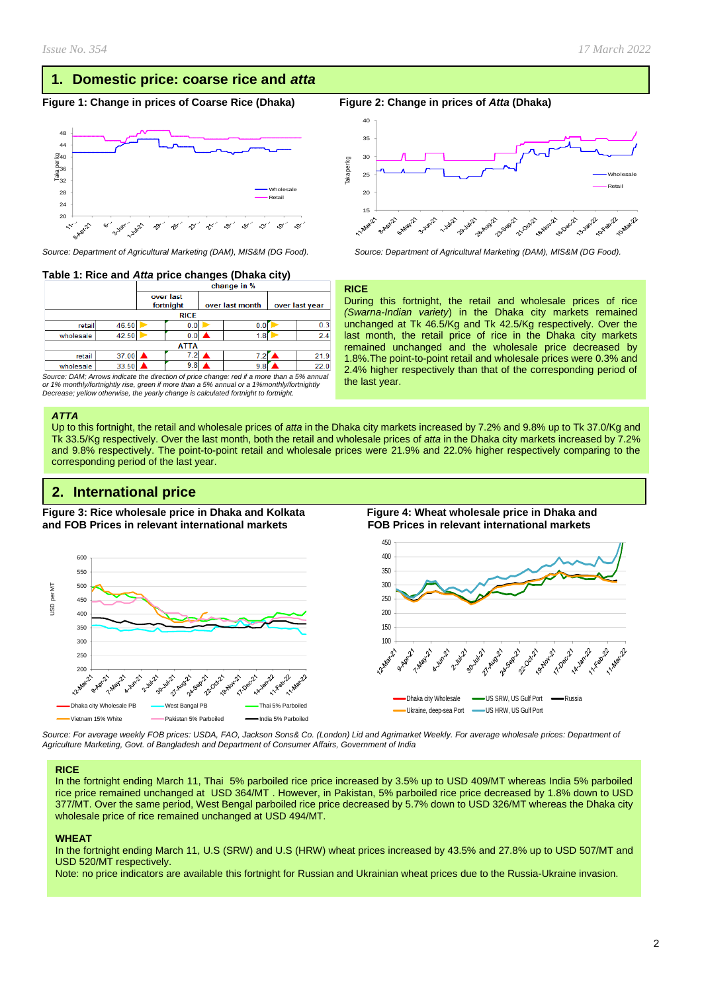## **1. Domestic price: coarse rice and** *atta*

## **Figure 1: Change in prices of Coarse Rice (Dhaka) Figure 2: Change in prices of** *Atta* **(Dhaka)**



## **Table 1: Rice and** *Atta* **price changes (Dhaka city)**

|           |             | change in <i>the</i>   |     |                 |     |                |      |  |  |  |
|-----------|-------------|------------------------|-----|-----------------|-----|----------------|------|--|--|--|
|           |             | over last<br>fortnight |     | over last month |     | over last year |      |  |  |  |
|           | <b>RICE</b> |                        |     |                 |     |                |      |  |  |  |
| retail    | 46.50       |                        | 0.0 |                 | 0.0 |                | 0.3  |  |  |  |
| wholesale | 42.50       |                        | 0.0 |                 | 1.8 |                | 2.4  |  |  |  |
|           | <b>ATTA</b> |                        |     |                 |     |                |      |  |  |  |
| retail    | 37.00       |                        | 7.2 |                 | 7.2 |                | 21.9 |  |  |  |
| wholesale | 33.50       |                        | 9.8 |                 | 9.8 |                | 22.0 |  |  |  |

*Source: DAM; Arrows indicate the direction of price change: red if a more than a 5% annual or 1% monthly/fortnightly rise, green if more than a 5% annual or a 1%monthly/fortnightly Decrease; yellow otherwise, the yearly change is calculated fortnight to fortnight.*

#### *ATTA*

Up to this fortnight, the retail and wholesale prices of *atta* in the Dhaka city markets increased by 7.2% and 9.8% up to Tk 37.0/Kg and Tk 33.5/Kg respectively. Over the last month, both the retail and wholesale prices of *atta* in the Dhaka city markets increased by 7.2% and 9.8% respectively. The point-to-point retail and wholesale prices were 21.9% and 22.0% higher respectively comparing to the corresponding period of the last year.

## **2. International price**

**Figure 3: Rice wholesale price in Dhaka and Kolkata Figure 4: Wheat wholesale price in Dhaka and and FOB Prices in relevant international markets FOB Prices in relevant international markets** 



*Source: For average weekly FOB prices: USDA, FAO, Jackson Sons& Co. (London) Lid and Agrimarket Weekly. For average wholesale prices: Department of Agriculture Marketing, Govt. of Bangladesh and Department of Consumer Affairs, Government of India*

#### **RICE**

In the fortnight ending March 11, Thai 5% parboiled rice price increased by 3.5% up to USD 409/MT whereas India 5% parboiled rice price remained unchanged at USD 364/MT . However, in Pakistan, 5% parboiled rice price decreased by 1.8% down to USD 377/MT. Over the same period, West Bengal parboiled rice price decreased by 5.7% down to USD 326/MT whereas the Dhaka city wholesale price of rice remained unchanged at USD 494/MT.

#### **WHEAT**

In the fortnight ending March 11, U.S (SRW) and U.S (HRW) wheat prices increased by 43.5% and 27.8% up to USD 507/MT and USD 520/MT respectively.

Note: no price indicators are available this fortnight for Russian and Ukrainian wheat prices due to the Russia-Ukraine invasion.



*Source: Department of Agricultural Marketing (DAM), MIS&M (DG Food). Source: Department of Agricultural Marketing (DAM), MIS&M (DG Food).*

#### **RICE**

During this fortnight, the retail and wholesale prices of rice *(Swarna-Indian variety*) in the Dhaka city markets remained unchanged at Tk 46.5/Kg and Tk 42.5/Kg respectively. Over the last month, the retail price of rice in the Dhaka city markets remained unchanged and the wholesale price decreased by 1.8%.The point-to-point retail and wholesale prices were 0.3% and 2.4% higher respectively than that of the corresponding period of the last year.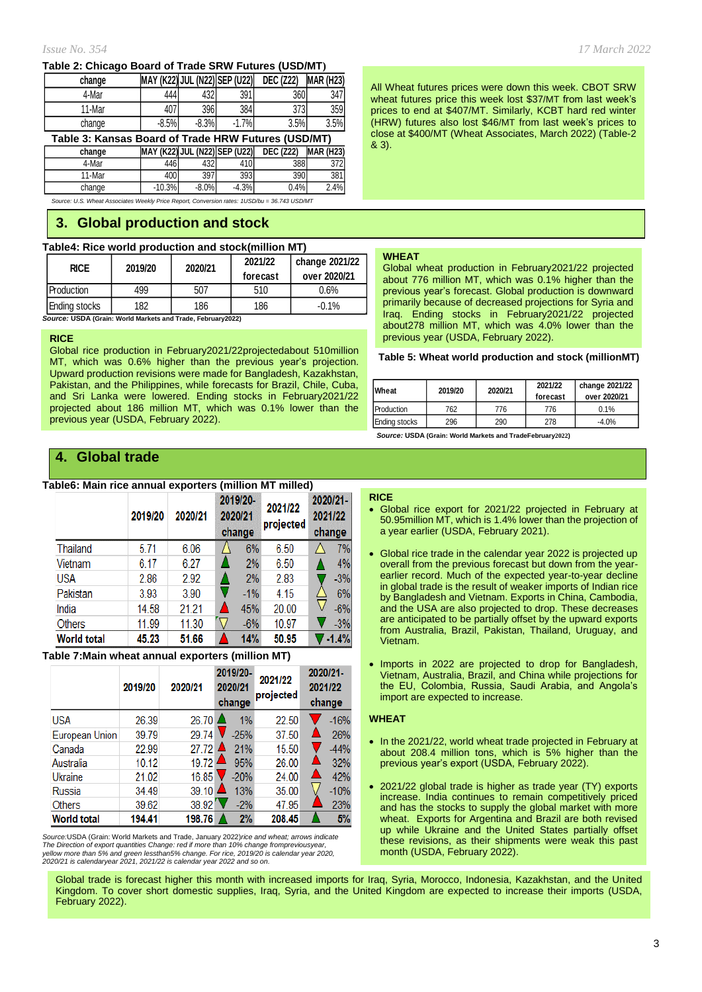### **Table 2: Chicago Board of Trade SRW Futures (USD/MT)**

| change                                              | MAY (K22) JUL (N22) SEP (U22) |         |     | <b>DEC (Z22)</b> | <b>MAR (H23)</b> |  |  |
|-----------------------------------------------------|-------------------------------|---------|-----|------------------|------------------|--|--|
| 4-Mar                                               |                               | 432     | 391 | 360              | 347              |  |  |
| 11-Mar                                              | 4U I                          | 396     | 384 | 373              | 359              |  |  |
| change                                              | $-8.5%$                       | $-8.3%$ | 7%  | 3.5%             | 3.5%             |  |  |
| Toble 2: Kanaga Beard of Trade UDW Euturea (UCD/MT) |                               |         |     |                  |                  |  |  |

| Table 3: Kansas Board of Trade HRW Futures (USD/MT) |                               |         |         |                  |                  |  |  |  |
|-----------------------------------------------------|-------------------------------|---------|---------|------------------|------------------|--|--|--|
| change                                              | MAY (K22) JUL (N22) SEP (U22) |         |         | <b>DEC (Z22)</b> | <b>MAR (H23)</b> |  |  |  |
| 4-Mar                                               | 4461                          | 432     | 410     | 388              | 372I             |  |  |  |
| 11-Mar                                              | 400                           | 397     | 393     | 390              | 381I             |  |  |  |
| change                                              | $-10.3%$                      | $-8.0%$ | $-4.3%$ | 0.4%             | 2.4%             |  |  |  |

*Source: U.S. Wheat Associates Weekly Price Report, Conversion rates: 1USD/bu = 36.743 USD/MT*

## **3. Global production and stock**

## **Table4: Rice world production and stock(million MT)**

| <b>RICE</b>   | 2019/20 | 2020/21 | 2021/22<br>forecast | change 2021/22<br>over 2020/21 |
|---------------|---------|---------|---------------------|--------------------------------|
| Production    | 499     | 507     | 510                 | 0.6%                           |
| Ending stocks | 182     | 186     | 186                 | $-0.1%$                        |

*Source:* **USDA (Grain: World Markets and Trade, February2022)**

## **RICE**

Global rice production in February2021/22projectedabout 510million MT, which was 0.6% higher than the previous year's projection. Upward production revisions were made for Bangladesh, Kazakhstan, Pakistan, and the Philippines, while forecasts for Brazil, Chile, Cuba, and Sri Lanka were lowered. Ending stocks in February2021/22 projected about 186 million MT, which was 0.1% lower than the previous year (USDA, February 2022).

## *Issue No. 354 17 March 2022*

All Wheat futures prices were down this week. CBOT SRW wheat futures price this week lost \$37/MT from last week's prices to end at \$407/MT. Similarly, KCBT hard red winter (HRW) futures also lost \$46/MT from last week's prices to close at \$400/MT (Wheat Associates, March 2022) (Table-2 & 3).

### **WHEAT**

Global wheat production in February2021/22 projected about 776 million MT, which was 0.1% higher than the previous year's forecast. Global production is downward primarily because of decreased projections for Syria and Iraq. Ending stocks in February2021/22 projected about278 million MT, which was 4.0% lower than the previous year (USDA, February 2022).

#### **Table 5: Wheat world production and stock (millionMT)**

| Wheat         | 2019/20 | 2020/21 | 2021/22<br>forecast | change 2021/22<br>over 2020/21 |  |  |
|---------------|---------|---------|---------------------|--------------------------------|--|--|
| Production    | 762     | 776     | 776                 | 0.1%                           |  |  |
| Ending stocks | 296     | 290     | 278                 | $-4.0%$                        |  |  |

 *Source:* **USDA (Grain: World Markets and TradeFebruary2022)**

## **4. Global trade**

## **Table6: Main rice annual exporters (million MT milled)**

|                    | 2019/20 | 2020/21 | 2019/20-<br>2021/22<br>2020/21<br>projected<br>change |       | 2021/22 | 2020/21-<br>change |
|--------------------|---------|---------|-------------------------------------------------------|-------|---------|--------------------|
| Thailand           | 5.71    | 6.06    | 6%                                                    | 6.50  |         | 7%                 |
| Vietnam            | 6.17    | 6.27    | 2%                                                    | 6.50  |         | 4%                 |
| <b>USA</b>         | 2.86    | 2.92    | 2%                                                    | 2.83  |         | $-3%$              |
| Pakistan           | 3.93    | 3.90    | $-1\%$                                                | 4.15  |         | 6%                 |
| India              | 14.58   | 21.21   | 45%                                                   | 20.00 |         | $-6%$              |
| Others             | 11.99   | 11.30   | $-6%$                                                 | 10.97 |         | $-3%$              |
| <b>World total</b> | 45.23   | 51.66   | 14%                                                   | 50.95 |         | $-1.4%$            |

## **Table 7:Main wheat annual exporters (million MT)**

|                    | 2019/20 | 2020/21             | 2019/20-<br>2020/21<br>change | 2021/22<br>projected | 2020/21-<br>2021/22<br>change |
|--------------------|---------|---------------------|-------------------------------|----------------------|-------------------------------|
| <b>USA</b>         | 26.39   | 26.70               | $1\%$                         | 22.50                | $-16%$                        |
| European Union     | 39.79   | 29.74               | $-25%$                        | 37.50                | 26%                           |
| Canada             | 22.99   | 27.72               | 21%                           | 15.50                | $-44%$                        |
| Australia          | 10.12   | 19.72               | 95%                           | 26.00                | 32%                           |
| Ukraine            | 21.02   | 16.85               | $-20%$                        | 24.00                | 42%                           |
| <b>Russia</b>      | 34.49   | $39.10$ $\triangle$ | 13%                           | 35.00                | $-10%$                        |
| <b>Others</b>      | 39.62   | 38.92               | $-2%$                         | 47.95                | 23%                           |
| <b>World total</b> | 194.41  | 198.76              | 2%                            | 208.45               | 5%                            |

*Source:*USDA (Grain: World Markets and Trade, January 2022)*rice and wheat; arrows indicate* The Direction of export quantities Change: red if more than 10% change frompreviousyear,<br>yellow more than 5% and green lessthan5% change. For rice, 2019/20 is calendar year 2020,<br>2020/21 is calendaryear 2021, 2021/22 is ca

#### **RICE**

- Global rice export for 2021/22 projected in February at 50.95million MT, which is 1.4% lower than the projection of a year earlier (USDA, February 2021).
- Global rice trade in the calendar year 2022 is projected up overall from the previous forecast but down from the yearearlier record. Much of the expected year-to-year decline in global trade is the result of weaker imports of Indian rice by Bangladesh and Vietnam. Exports in China, Cambodia, and the USA are also projected to drop. These decreases are anticipated to be partially offset by the upward exports from Australia, Brazil, Pakistan, Thailand, Uruguay, and Vietnam.
- Imports in 2022 are projected to drop for Bangladesh, Vietnam, Australia, Brazil, and China while projections for the EU, Colombia, Russia, Saudi Arabia, and Angola's import are expected to increase.

#### **WHEAT**

- In the 2021/22, world wheat trade projected in February at about 208.4 million tons, which is 5% higher than the previous year's export (USDA, February 2022).
- 2021/22 global trade is higher as trade year (TY) exports increase. India continues to remain competitively priced and has the stocks to supply the global market with more wheat. Exports for Argentina and Brazil are both revised up while Ukraine and the United States partially offset these revisions, as their shipments were weak this past month (USDA, February 2022).

Global trade is forecast higher this month with increased imports for Iraq, Syria, Morocco, Indonesia, Kazakhstan, and the United Kingdom. To cover short domestic supplies, Iraq, Syria, and the United Kingdom are expected to increase their imports (USDA, February 2022).